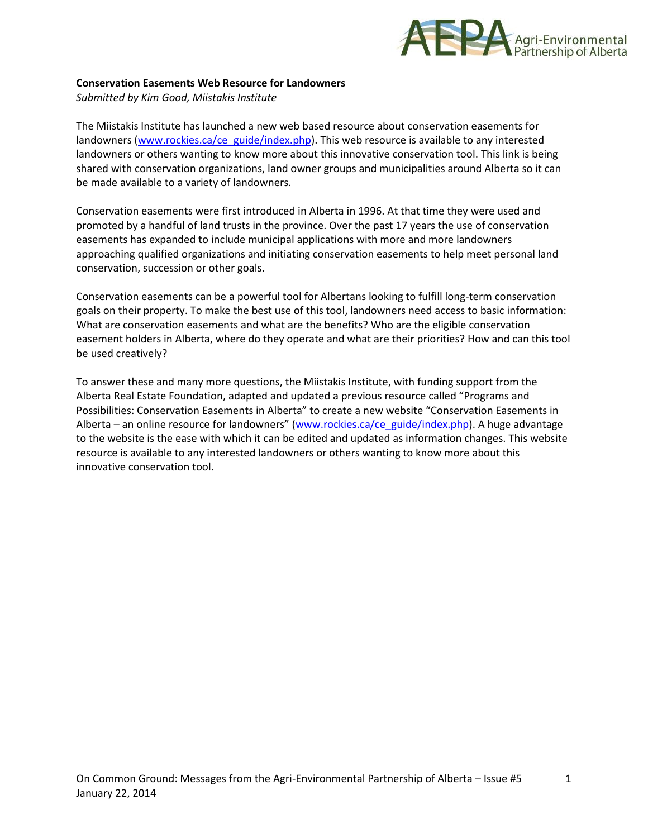

## **Conservation Easements Web Resource for Landowners**

*Submitted by Kim Good, Miistakis Institute*

The Miistakis Institute has launched a new web based resource about conservation easements for landowners [\(www.rockies.ca/ce\\_guide/index.php\)](http://www.rockies.ca/ce_guide/index.php). This web resource is available to any interested landowners or others wanting to know more about this innovative conservation tool. This link is being shared with conservation organizations, land owner groups and municipalities around Alberta so it can be made available to a variety of landowners.

Conservation easements were first introduced in Alberta in 1996. At that time they were used and promoted by a handful of land trusts in the province. Over the past 17 years the use of conservation easements has expanded to include municipal applications with more and more landowners approaching qualified organizations and initiating conservation easements to help meet personal land conservation, succession or other goals.

Conservation easements can be a powerful tool for Albertans looking to fulfill long-term conservation goals on their property. To make the best use of this tool, landowners need access to basic information: What are conservation easements and what are the benefits? Who are the eligible conservation easement holders in Alberta, where do they operate and what are their priorities? How and can this tool be used creatively?

To answer these and many more questions, the Miistakis Institute, with funding support from the Alberta Real Estate Foundation, adapted and updated a previous resource called "Programs and Possibilities: Conservation Easements in Alberta" to create a new website "Conservation Easements in Alberta – an online resource for landowners" ([www.rockies.ca/ce\\_guide/index.php\)](http://www.rockies.ca/ce_guide/index.php). A huge advantage to the website is the ease with which it can be edited and updated as information changes. This website resource is available to any interested landowners or others wanting to know more about this innovative conservation tool.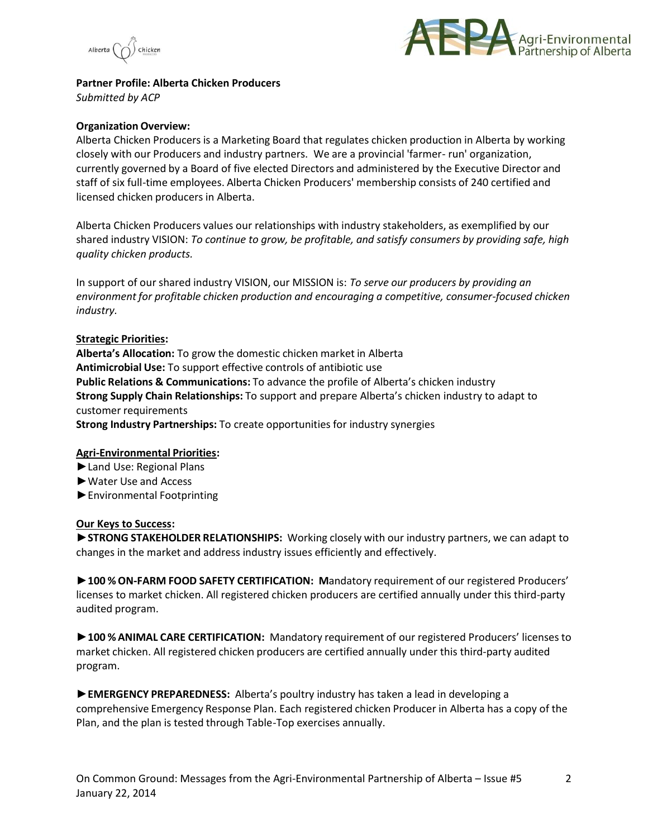



**Partner Profile: Alberta Chicken Producers** *Submitted by ACP*

#### **Organization Overview:**

Alberta Chicken Producers is a Marketing Board that regulates chicken production in Alberta by working closely with our Producers and industry partners. We are a provincial 'farmer- run' organization, currently governed by a Board of five elected Directors and administered by the Executive Director and staff of six full-time employees. Alberta Chicken Producers' membership consists of 240 certified and licensed chicken producers in Alberta.

Alberta Chicken Producers values our relationships with industry stakeholders, as exemplified by our shared industry VISION: *To continue to grow, be profitable, and satisfy consumers by providing safe, high quality chicken products.*

In support of our shared industry VISION, our MISSION is: *To serve our producers by providing an environment for profitable chicken production and encouraging a competitive, consumer-focused chicken industry.*

#### **Strategic Priorities:**

**Alberta's Allocation:** To grow the domestic chicken market in Alberta **Antimicrobial Use:** To support effective controls of antibiotic use **Public Relations & Communications:** To advance the profile of Alberta's chicken industry **Strong Supply Chain Relationships:** To support and prepare Alberta's chicken industry to adapt to customer requirements **Strong Industry Partnerships:** To create opportunities for industry synergies

### **Agri-Environmental Priorities:**

- **►**Land Use: Regional Plans
- **►**Water Use and Access
- **►**Environmental Footprinting

### **Our Keys to Success:**

**►STRONG STAKEHOLDER RELATIONSHIPS:** Working closely with our industry partners, we can adapt to changes in the market and address industry issues efficiently and effectively.

**►100 % ON-FARM FOOD SAFETY CERTIFICATION: M**andatory requirement of our registered Producers' licenses to market chicken. All registered chicken producers are certified annually under this third-party audited program.

**►100 % ANIMAL CARE CERTIFICATION:** Mandatory requirement of our registered Producers' licenses to market chicken. All registered chicken producers are certified annually under this third-party audited program.

**►EMERGENCY PREPAREDNESS:** Alberta's poultry industry has taken a lead in developing a comprehensive Emergency Response Plan. Each registered chicken Producer in Alberta has a copy of the Plan, and the plan is tested through Table-Top exercises annually.